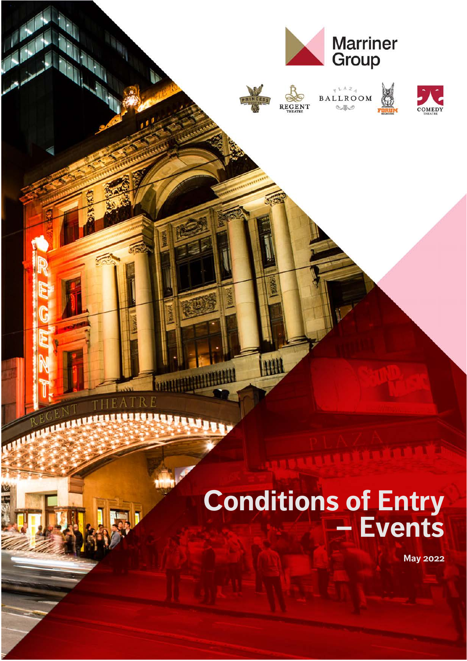

# **Conditions of Entry – Events**

**May 2022**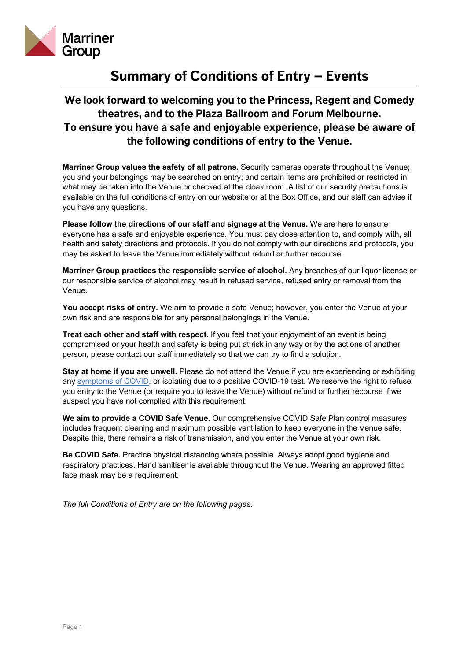

# **Summary of Conditions of Entry – Events**

# **We look forward to welcoming you to the Princess, Regent and Comedy theatres, and to the Plaza Ballroom and Forum Melbourne. To ensure you have a safe and enjoyable experience, please be aware of the following conditions of entry to the Venue.**

**Marriner Group values the safety of all patrons.** Security cameras operate throughout the Venue; you and your belongings may be searched on entry; and certain items are prohibited or restricted in what may be taken into the Venue or checked at the cloak room. A list of our security precautions is available on the full conditions of entry on our website or at the Box Office, and our staff can advise if you have any questions.

**Please follow the directions of our staff and signage at the Venue.** We are here to ensure everyone has a safe and enjoyable experience. You must pay close attention to, and comply with, all health and safety directions and protocols. If you do not comply with our directions and protocols, you may be asked to leave the Venue immediately without refund or further recourse.

**Marriner Group practices the responsible service of alcohol.** Any breaches of our liquor license or our responsible service of alcohol may result in refused service, refused entry or removal from the Venue.

**You accept risks of entry.** We aim to provide a safe Venue; however, you enter the Venue at your own risk and are responsible for any personal belongings in the Venue.

**Treat each other and staff with respect.** If you feel that your enjoyment of an event is being compromised or your health and safety is being put at risk in any way or by the actions of another person, please contact our staff immediately so that we can try to find a solution.

**Stay at home if you are unwell.** Please do not attend the Venue if you are experiencing or exhibiting any [symptoms of COVID](https://www.dhhs.vic.gov.au/victorian-public-coronavirus-disease-covid-19#what-are-the-symptoms-of-coronavirus-covid-19), or isolating due to a positive COVID-19 test. We reserve the right to refuse you entry to the Venue (or require you to leave the Venue) without refund or further recourse if we suspect you have not complied with this requirement.

**We aim to provide a COVID Safe Venue.** Our comprehensive COVID Safe Plan control measures includes frequent cleaning and maximum possible ventilation to keep everyone in the Venue safe. Despite this, there remains a risk of transmission, and you enter the Venue at your own risk.

**Be COVID Safe.** Practice physical distancing where possible. Always adopt good hygiene and respiratory practices. Hand sanitiser is available throughout the Venue. Wearing an approved fitted face mask may be a requirement.

*The full Conditions of Entry are on the following pages.*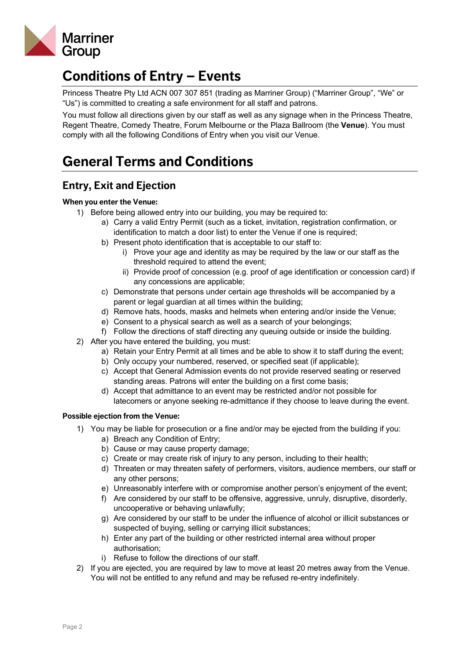

# **Conditions of Entry – Events**

Princess Theatre Pty Ltd ACN 007 307 851 (trading as Marriner Group) ("Marriner Group", "We" or "Us") is committed to creating a safe environment for all staff and patrons.

You must follow all directions given by our staff as well as any signage when in the Princess Theatre, Regent Theatre, Comedy Theatre, Forum Melbourne or the Plaza Ballroom (the **Venue**). You must comply with all the following Conditions of Entry when you visit our Venue.

# **General Terms and Conditions**

# **Entry, Exit and Ejection**

#### **When you enter the Venue:**

- 1) Before being allowed entry into our building, you may be required to:
	- a) Carry a valid Entry Permit (such as a ticket, invitation, registration confirmation, or identification to match a door list) to enter the Venue if one is required;
	- b) Present photo identification that is acceptable to our staff to:
		- i) Prove your age and identity as may be required by the law or our staff as the threshold required to attend the event;
		- ii) Provide proof of concession (e.g. proof of age identification or concession card) if any concessions are applicable;
	- c) Demonstrate that persons under certain age thresholds will be accompanied by a parent or legal guardian at all times within the building;
	- d) Remove hats, hoods, masks and helmets when entering and/or inside the Venue;
	- e) Consent to a physical search as well as a search of your belongings;
	- f) Follow the directions of staff directing any queuing outside or inside the building.
- 2) After you have entered the building, you must:
	- a) Retain your Entry Permit at all times and be able to show it to staff during the event;
	- b) Only occupy your numbered, reserved, or specified seat (if applicable);
	- c) Accept that General Admission events do not provide reserved seating or reserved standing areas. Patrons will enter the building on a first come basis;
	- d) Accept that admittance to an event may be restricted and/or not possible for latecomers or anyone seeking re-admittance if they choose to leave during the event.

#### **Possible ejection from the Venue:**

- 1) You may be liable for prosecution or a fine and/or may be ejected from the building if you:
	- a) Breach any Condition of Entry;
	- b) Cause or may cause property damage;
	- c) Create or may create risk of injury to any person, including to their health;
	- d) Threaten or may threaten safety of performers, visitors, audience members, our staff or any other persons;
	- e) Unreasonably interfere with or compromise another person's enjoyment of the event;
	- f) Are considered by our staff to be offensive, aggressive, unruly, disruptive, disorderly, uncooperative or behaving unlawfully;
	- g) Are considered by our staff to be under the influence of alcohol or illicit substances or suspected of buying, selling or carrying illicit substances;
	- h) Enter any part of the building or other restricted internal area without proper authorisation;
	- i) Refuse to follow the directions of our staff.
- 2) If you are ejected, you are required by law to move at least 20 metres away from the Venue. You will not be entitled to any refund and may be refused re-entry indefinitely.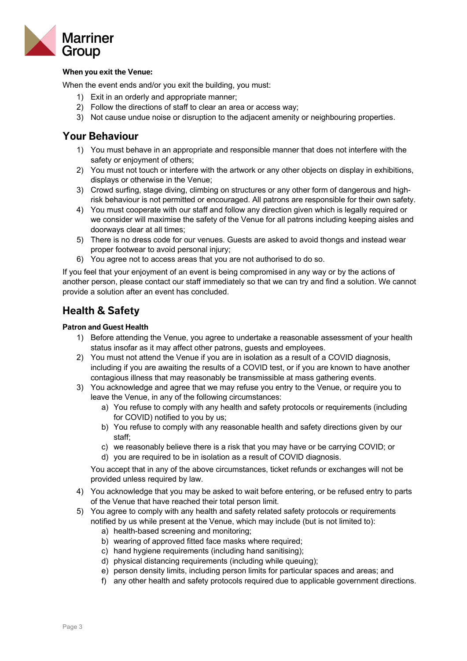

#### **When you exit the Venue:**

When the event ends and/or you exit the building, you must:

- 1) Exit in an orderly and appropriate manner;
- 2) Follow the directions of staff to clear an area or access way;
- 3) Not cause undue noise or disruption to the adjacent amenity or neighbouring properties.

#### **Your Behaviour**

- 1) You must behave in an appropriate and responsible manner that does not interfere with the safety or enjoyment of others;
- 2) You must not touch or interfere with the artwork or any other objects on display in exhibitions, displays or otherwise in the Venue;
- 3) Crowd surfing, stage diving, climbing on structures or any other form of dangerous and highrisk behaviour is not permitted or encouraged. All patrons are responsible for their own safety.
- 4) You must cooperate with our staff and follow any direction given which is legally required or we consider will maximise the safety of the Venue for all patrons including keeping aisles and doorways clear at all times;
- 5) There is no dress code for our venues. Guests are asked to avoid thongs and instead wear proper footwear to avoid personal injury;
- 6) You agree not to access areas that you are not authorised to do so.

If you feel that your enjoyment of an event is being compromised in any way or by the actions of another person, please contact our staff immediately so that we can try and find a solution. We cannot provide a solution after an event has concluded.

## **Health & Safety**

#### **Patron and Guest Health**

- 1) Before attending the Venue, you agree to undertake a reasonable assessment of your health status insofar as it may affect other patrons, guests and employees.
- 2) You must not attend the Venue if you are in isolation as a result of a COVID diagnosis, including if you are awaiting the results of a COVID test, or if you are known to have another contagious illness that may reasonably be transmissible at mass gathering events.
- 3) You acknowledge and agree that we may refuse you entry to the Venue, or require you to leave the Venue, in any of the following circumstances:
	- a) You refuse to comply with any health and safety protocols or requirements (including for COVID) notified to you by us;
	- b) You refuse to comply with any reasonable health and safety directions given by our staff;
	- c) we reasonably believe there is a risk that you may have or be carrying COVID; or
	- d) you are required to be in isolation as a result of COVID diagnosis.

You accept that in any of the above circumstances, ticket refunds or exchanges will not be provided unless required by law.

- 4) You acknowledge that you may be asked to wait before entering, or be refused entry to parts of the Venue that have reached their total person limit.
- 5) You agree to comply with any health and safety related safety protocols or requirements notified by us while present at the Venue, which may include (but is not limited to):
	- a) health-based screening and monitoring;
	- b) wearing of approved fitted face masks where required;
	- c) hand hygiene requirements (including hand sanitising);
	- d) physical distancing requirements (including while queuing);
	- e) person density limits, including person limits for particular spaces and areas; and
	- f) any other health and safety protocols required due to applicable government directions.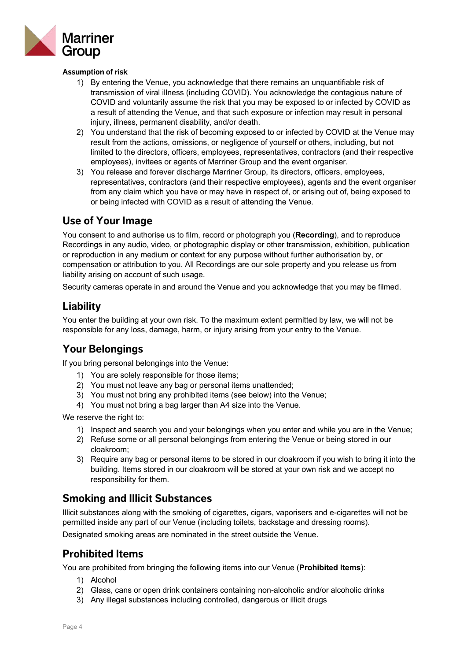

#### **Assumption of risk**

- 1) By entering the Venue, you acknowledge that there remains an unquantifiable risk of transmission of viral illness (including COVID). You acknowledge the contagious nature of COVID and voluntarily assume the risk that you may be exposed to or infected by COVID as a result of attending the Venue, and that such exposure or infection may result in personal injury, illness, permanent disability, and/or death.
- 2) You understand that the risk of becoming exposed to or infected by COVID at the Venue may result from the actions, omissions, or negligence of yourself or others, including, but not limited to the directors, officers, employees, representatives, contractors (and their respective employees), invitees or agents of Marriner Group and the event organiser.
- 3) You release and forever discharge Marriner Group, its directors, officers, employees, representatives, contractors (and their respective employees), agents and the event organiser from any claim which you have or may have in respect of, or arising out of, being exposed to or being infected with COVID as a result of attending the Venue.

#### **Use of Your Image**

You consent to and authorise us to film, record or photograph you (**Recording**), and to reproduce Recordings in any audio, video, or photographic display or other transmission, exhibition, publication or reproduction in any medium or context for any purpose without further authorisation by, or compensation or attribution to you. All Recordings are our sole property and you release us from liability arising on account of such usage.

Security cameras operate in and around the Venue and you acknowledge that you may be filmed.

## **Liability**

You enter the building at your own risk. To the maximum extent permitted by law, we will not be responsible for any loss, damage, harm, or injury arising from your entry to the Venue.

## **Your Belongings**

If you bring personal belongings into the Venue:

- 1) You are solely responsible for those items;
- 2) You must not leave any bag or personal items unattended;
- 3) You must not bring any prohibited items (see below) into the Venue;
- 4) You must not bring a bag larger than A4 size into the Venue.

We reserve the right to:

- 1) Inspect and search you and your belongings when you enter and while you are in the Venue;
- 2) Refuse some or all personal belongings from entering the Venue or being stored in our cloakroom;
- 3) Require any bag or personal items to be stored in our cloakroom if you wish to bring it into the building. Items stored in our cloakroom will be stored at your own risk and we accept no responsibility for them.

#### **Smoking and Illicit Substances**

Illicit substances along with the smoking of cigarettes, cigars, vaporisers and e-cigarettes will not be permitted inside any part of our Venue (including toilets, backstage and dressing rooms).

Designated smoking areas are nominated in the street outside the Venue.

## **Prohibited Items**

You are prohibited from bringing the following items into our Venue (**Prohibited Items**):

- 1) Alcohol
- 2) Glass, cans or open drink containers containing non-alcoholic and/or alcoholic drinks
- 3) Any illegal substances including controlled, dangerous or illicit drugs